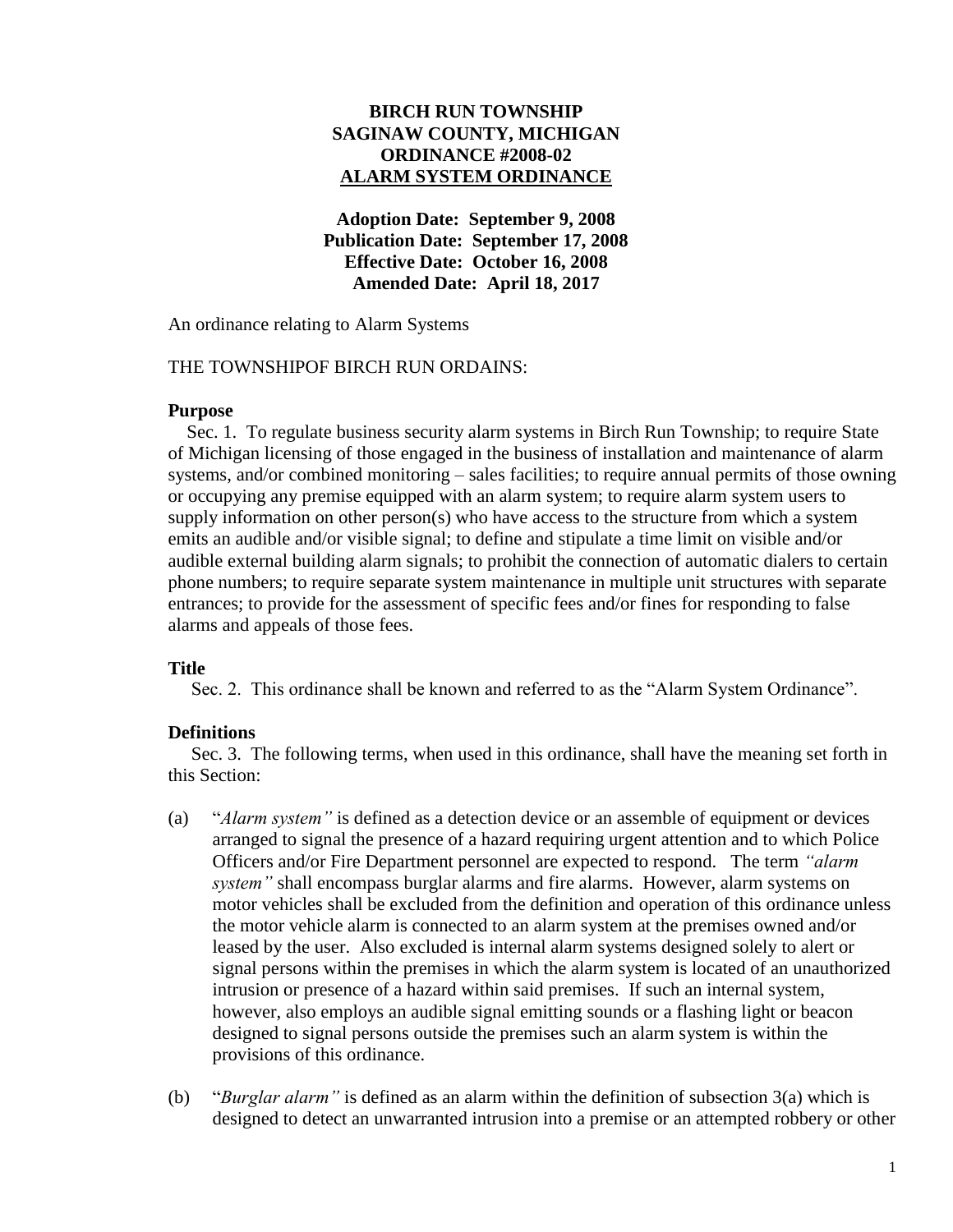# **BIRCH RUN TOWNSHIP SAGINAW COUNTY, MICHIGAN ORDINANCE #2008-02 ALARM SYSTEM ORDINANCE**

**Adoption Date: September 9, 2008 Publication Date: September 17, 2008 Effective Date: October 16, 2008 Amended Date: April 18, 2017**

An ordinance relating to Alarm Systems

### THE TOWNSHIPOF BIRCH RUN ORDAINS:

### **Purpose**

Sec. 1. To regulate business security alarm systems in Birch Run Township; to require State of Michigan licensing of those engaged in the business of installation and maintenance of alarm systems, and/or combined monitoring – sales facilities; to require annual permits of those owning or occupying any premise equipped with an alarm system; to require alarm system users to supply information on other person(s) who have access to the structure from which a system emits an audible and/or visible signal; to define and stipulate a time limit on visible and/or audible external building alarm signals; to prohibit the connection of automatic dialers to certain phone numbers; to require separate system maintenance in multiple unit structures with separate entrances; to provide for the assessment of specific fees and/or fines for responding to false alarms and appeals of those fees.

### **Title**

Sec. 2. This ordinance shall be known and referred to as the "Alarm System Ordinance".

### **Definitions**

Sec. 3. The following terms, when used in this ordinance, shall have the meaning set forth in this Section:

- (a) "*Alarm system"* is defined as a detection device or an assemble of equipment or devices arranged to signal the presence of a hazard requiring urgent attention and to which Police Officers and/or Fire Department personnel are expected to respond. The term *"alarm system"* shall encompass burglar alarms and fire alarms. However, alarm systems on motor vehicles shall be excluded from the definition and operation of this ordinance unless the motor vehicle alarm is connected to an alarm system at the premises owned and/or leased by the user. Also excluded is internal alarm systems designed solely to alert or signal persons within the premises in which the alarm system is located of an unauthorized intrusion or presence of a hazard within said premises. If such an internal system, however, also employs an audible signal emitting sounds or a flashing light or beacon designed to signal persons outside the premises such an alarm system is within the provisions of this ordinance.
- (b) "*Burglar alarm"* is defined as an alarm within the definition of subsection 3(a) which is designed to detect an unwarranted intrusion into a premise or an attempted robbery or other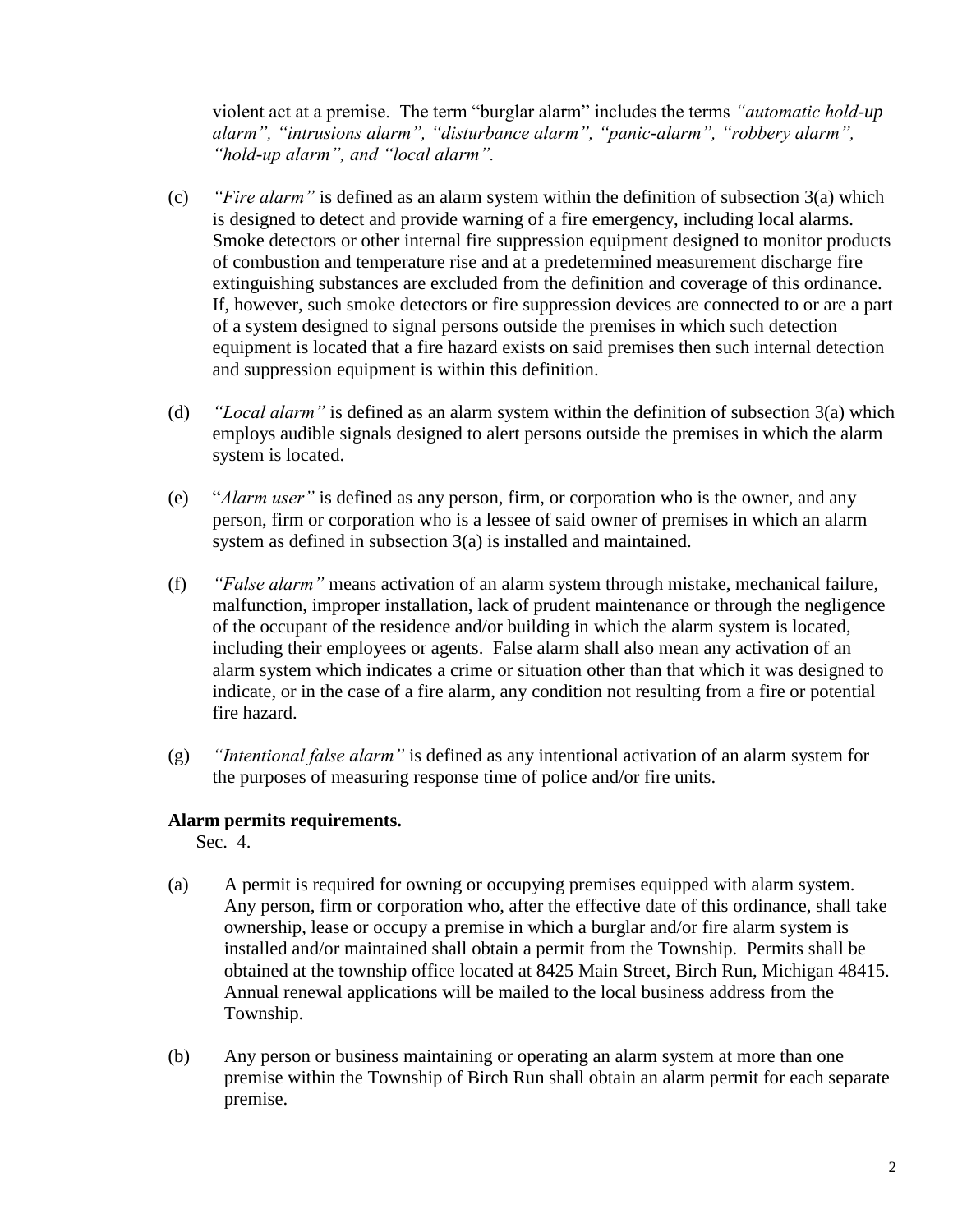violent act at a premise. The term "burglar alarm" includes the terms *"automatic hold-up alarm", "intrusions alarm", "disturbance alarm", "panic-alarm", "robbery alarm", "hold-up alarm", and "local alarm".*

- (c) *"Fire alarm"* is defined as an alarm system within the definition of subsection 3(a) which is designed to detect and provide warning of a fire emergency, including local alarms. Smoke detectors or other internal fire suppression equipment designed to monitor products of combustion and temperature rise and at a predetermined measurement discharge fire extinguishing substances are excluded from the definition and coverage of this ordinance. If, however, such smoke detectors or fire suppression devices are connected to or are a part of a system designed to signal persons outside the premises in which such detection equipment is located that a fire hazard exists on said premises then such internal detection and suppression equipment is within this definition.
- (d) *"Local alarm"* is defined as an alarm system within the definition of subsection 3(a) which employs audible signals designed to alert persons outside the premises in which the alarm system is located.
- (e) "*Alarm user"* is defined as any person, firm, or corporation who is the owner, and any person, firm or corporation who is a lessee of said owner of premises in which an alarm system as defined in subsection 3(a) is installed and maintained.
- (f) *"False alarm"* means activation of an alarm system through mistake, mechanical failure, malfunction, improper installation, lack of prudent maintenance or through the negligence of the occupant of the residence and/or building in which the alarm system is located, including their employees or agents. False alarm shall also mean any activation of an alarm system which indicates a crime or situation other than that which it was designed to indicate, or in the case of a fire alarm, any condition not resulting from a fire or potential fire hazard.
- (g) *"Intentional false alarm"* is defined as any intentional activation of an alarm system for the purposes of measuring response time of police and/or fire units.

### **Alarm permits requirements.**

Sec. 4.

- (a) A permit is required for owning or occupying premises equipped with alarm system. Any person, firm or corporation who, after the effective date of this ordinance, shall take ownership, lease or occupy a premise in which a burglar and/or fire alarm system is installed and/or maintained shall obtain a permit from the Township. Permits shall be obtained at the township office located at 8425 Main Street, Birch Run, Michigan 48415. Annual renewal applications will be mailed to the local business address from the Township.
- (b) Any person or business maintaining or operating an alarm system at more than one premise within the Township of Birch Run shall obtain an alarm permit for each separate premise.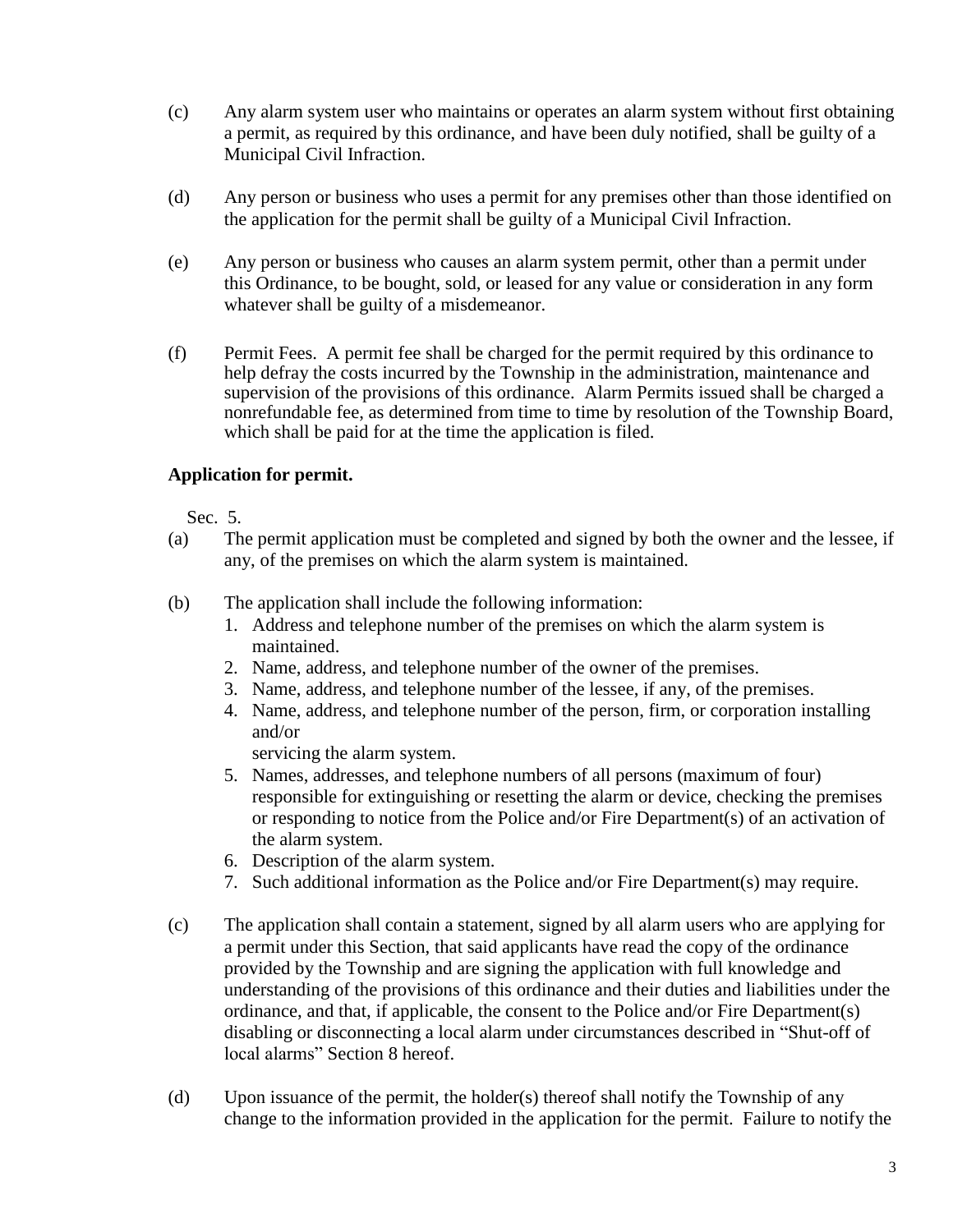- (c) Any alarm system user who maintains or operates an alarm system without first obtaining a permit, as required by this ordinance, and have been duly notified, shall be guilty of a Municipal Civil Infraction.
- (d) Any person or business who uses a permit for any premises other than those identified on the application for the permit shall be guilty of a Municipal Civil Infraction.
- (e) Any person or business who causes an alarm system permit, other than a permit under this Ordinance, to be bought, sold, or leased for any value or consideration in any form whatever shall be guilty of a misdemeanor.
- (f) Permit Fees. A permit fee shall be charged for the permit required by this ordinance to help defray the costs incurred by the Township in the administration, maintenance and supervision of the provisions of this ordinance. Alarm Permits issued shall be charged a nonrefundable fee, as determined from time to time by resolution of the Township Board, which shall be paid for at the time the application is filed.

# **Application for permit.**

Sec. 5.

- (a) The permit application must be completed and signed by both the owner and the lessee, if any, of the premises on which the alarm system is maintained.
- (b) The application shall include the following information:
	- 1. Address and telephone number of the premises on which the alarm system is maintained.
	- 2. Name, address, and telephone number of the owner of the premises.
	- 3. Name, address, and telephone number of the lessee, if any, of the premises.
	- 4. Name, address, and telephone number of the person, firm, or corporation installing and/or

servicing the alarm system.

- 5. Names, addresses, and telephone numbers of all persons (maximum of four) responsible for extinguishing or resetting the alarm or device, checking the premises or responding to notice from the Police and/or Fire Department(s) of an activation of the alarm system.
- 6. Description of the alarm system.
- 7. Such additional information as the Police and/or Fire Department(s) may require.
- (c) The application shall contain a statement, signed by all alarm users who are applying for a permit under this Section, that said applicants have read the copy of the ordinance provided by the Township and are signing the application with full knowledge and understanding of the provisions of this ordinance and their duties and liabilities under the ordinance, and that, if applicable, the consent to the Police and/or Fire Department(s) disabling or disconnecting a local alarm under circumstances described in "Shut-off of local alarms" Section 8 hereof.
- (d) Upon issuance of the permit, the holder(s) thereof shall notify the Township of any change to the information provided in the application for the permit. Failure to notify the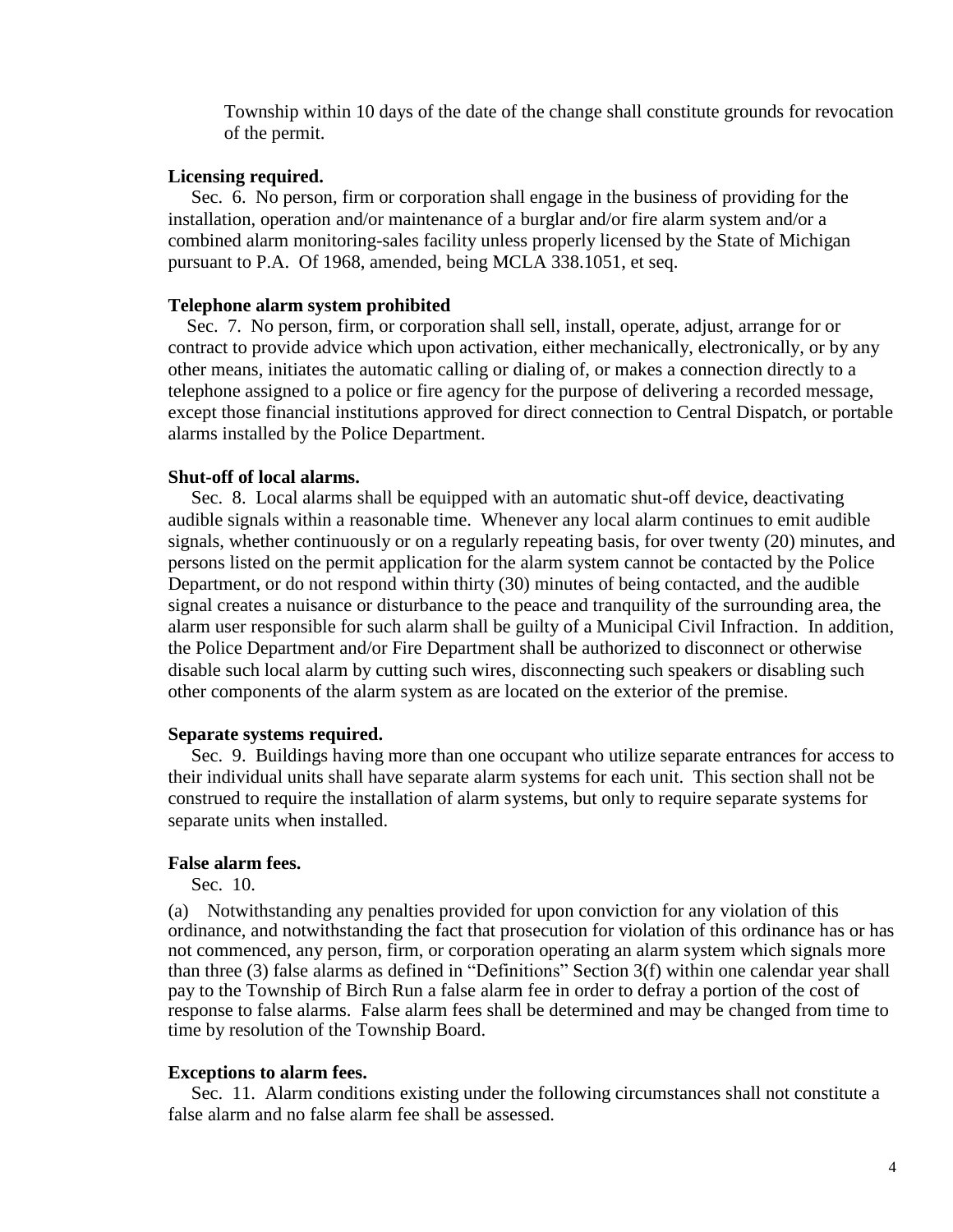Township within 10 days of the date of the change shall constitute grounds for revocation of the permit.

### **Licensing required.**

 Sec. 6. No person, firm or corporation shall engage in the business of providing for the installation, operation and/or maintenance of a burglar and/or fire alarm system and/or a combined alarm monitoring-sales facility unless properly licensed by the State of Michigan pursuant to P.A. Of 1968, amended, being MCLA 338.1051, et seq.

#### **Telephone alarm system prohibited**

Sec. 7. No person, firm, or corporation shall sell, install, operate, adjust, arrange for or contract to provide advice which upon activation, either mechanically, electronically, or by any other means, initiates the automatic calling or dialing of, or makes a connection directly to a telephone assigned to a police or fire agency for the purpose of delivering a recorded message, except those financial institutions approved for direct connection to Central Dispatch, or portable alarms installed by the Police Department.

#### **Shut-off of local alarms.**

Sec. 8. Local alarms shall be equipped with an automatic shut-off device, deactivating audible signals within a reasonable time. Whenever any local alarm continues to emit audible signals, whether continuously or on a regularly repeating basis, for over twenty (20) minutes, and persons listed on the permit application for the alarm system cannot be contacted by the Police Department, or do not respond within thirty (30) minutes of being contacted, and the audible signal creates a nuisance or disturbance to the peace and tranquility of the surrounding area, the alarm user responsible for such alarm shall be guilty of a Municipal Civil Infraction. In addition, the Police Department and/or Fire Department shall be authorized to disconnect or otherwise disable such local alarm by cutting such wires, disconnecting such speakers or disabling such other components of the alarm system as are located on the exterior of the premise.

### **Separate systems required.**

Sec. 9. Buildings having more than one occupant who utilize separate entrances for access to their individual units shall have separate alarm systems for each unit. This section shall not be construed to require the installation of alarm systems, but only to require separate systems for separate units when installed.

#### **False alarm fees.**

Sec. 10.

(a) Notwithstanding any penalties provided for upon conviction for any violation of this ordinance, and notwithstanding the fact that prosecution for violation of this ordinance has or has not commenced, any person, firm, or corporation operating an alarm system which signals more than three (3) false alarms as defined in "Definitions" Section 3(f) within one calendar year shall pay to the Township of Birch Run a false alarm fee in order to defray a portion of the cost of response to false alarms. False alarm fees shall be determined and may be changed from time to time by resolution of the Township Board.

#### **Exceptions to alarm fees.**

Sec. 11. Alarm conditions existing under the following circumstances shall not constitute a false alarm and no false alarm fee shall be assessed.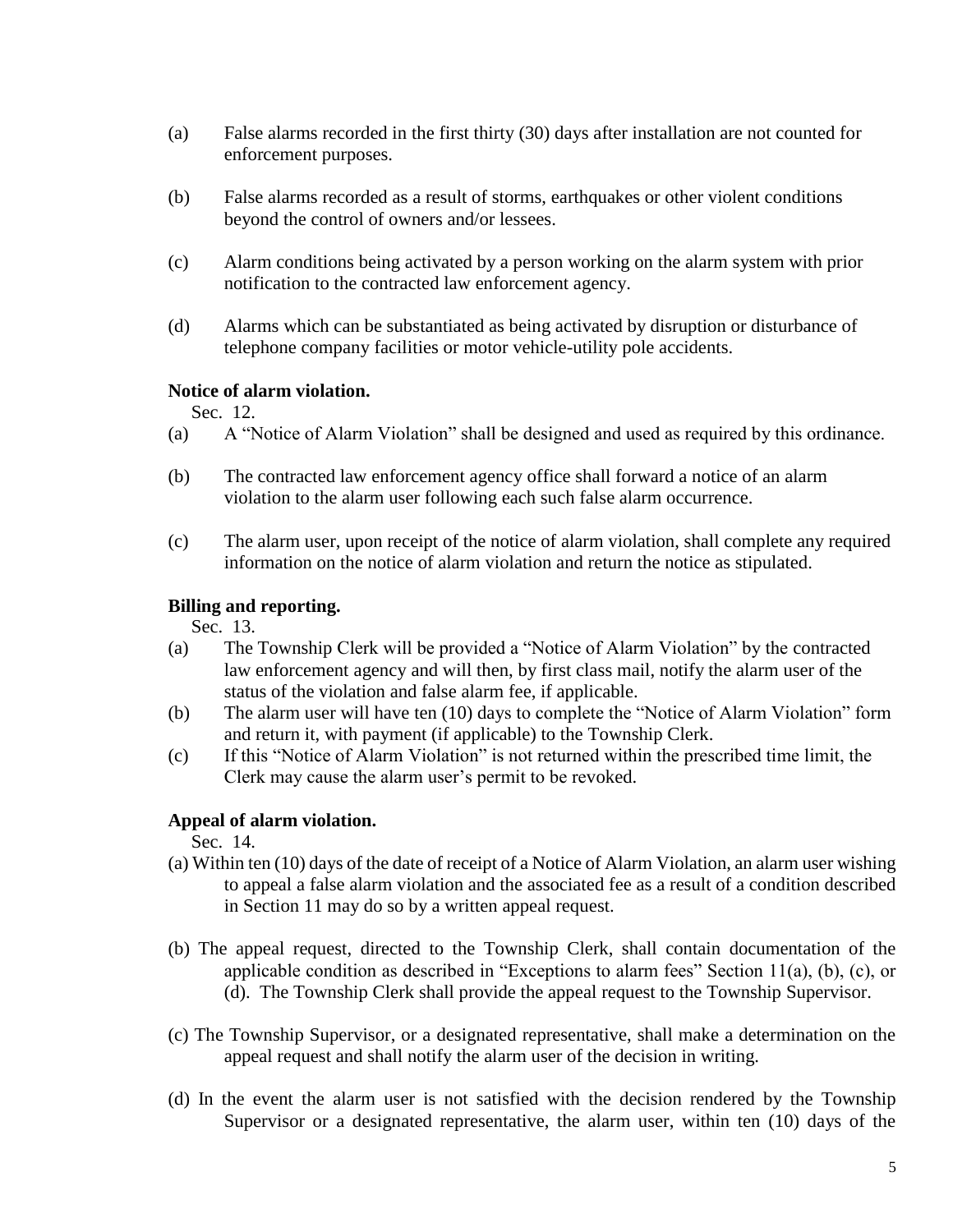- (a) False alarms recorded in the first thirty (30) days after installation are not counted for enforcement purposes.
- (b) False alarms recorded as a result of storms, earthquakes or other violent conditions beyond the control of owners and/or lessees.
- (c) Alarm conditions being activated by a person working on the alarm system with prior notification to the contracted law enforcement agency.
- (d) Alarms which can be substantiated as being activated by disruption or disturbance of telephone company facilities or motor vehicle-utility pole accidents.

# **Notice of alarm violation.**

Sec. 12.

- (a) A "Notice of Alarm Violation" shall be designed and used as required by this ordinance.
- (b) The contracted law enforcement agency office shall forward a notice of an alarm violation to the alarm user following each such false alarm occurrence.
- (c) The alarm user, upon receipt of the notice of alarm violation, shall complete any required information on the notice of alarm violation and return the notice as stipulated.

# **Billing and reporting.**

Sec. 13.

- (a) The Township Clerk will be provided a "Notice of Alarm Violation" by the contracted law enforcement agency and will then, by first class mail, notify the alarm user of the status of the violation and false alarm fee, if applicable.
- (b) The alarm user will have ten (10) days to complete the "Notice of Alarm Violation" form and return it, with payment (if applicable) to the Township Clerk.
- (c) If this "Notice of Alarm Violation" is not returned within the prescribed time limit, the Clerk may cause the alarm user's permit to be revoked.

# **Appeal of alarm violation.**

Sec. 14.

- (a) Within ten (10) days of the date of receipt of a Notice of Alarm Violation, an alarm user wishing to appeal a false alarm violation and the associated fee as a result of a condition described in Section 11 may do so by a written appeal request.
- (b) The appeal request, directed to the Township Clerk, shall contain documentation of the applicable condition as described in "Exceptions to alarm fees" Section 11(a), (b), (c), or (d). The Township Clerk shall provide the appeal request to the Township Supervisor.
- (c) The Township Supervisor, or a designated representative, shall make a determination on the appeal request and shall notify the alarm user of the decision in writing.
- (d) In the event the alarm user is not satisfied with the decision rendered by the Township Supervisor or a designated representative, the alarm user, within ten (10) days of the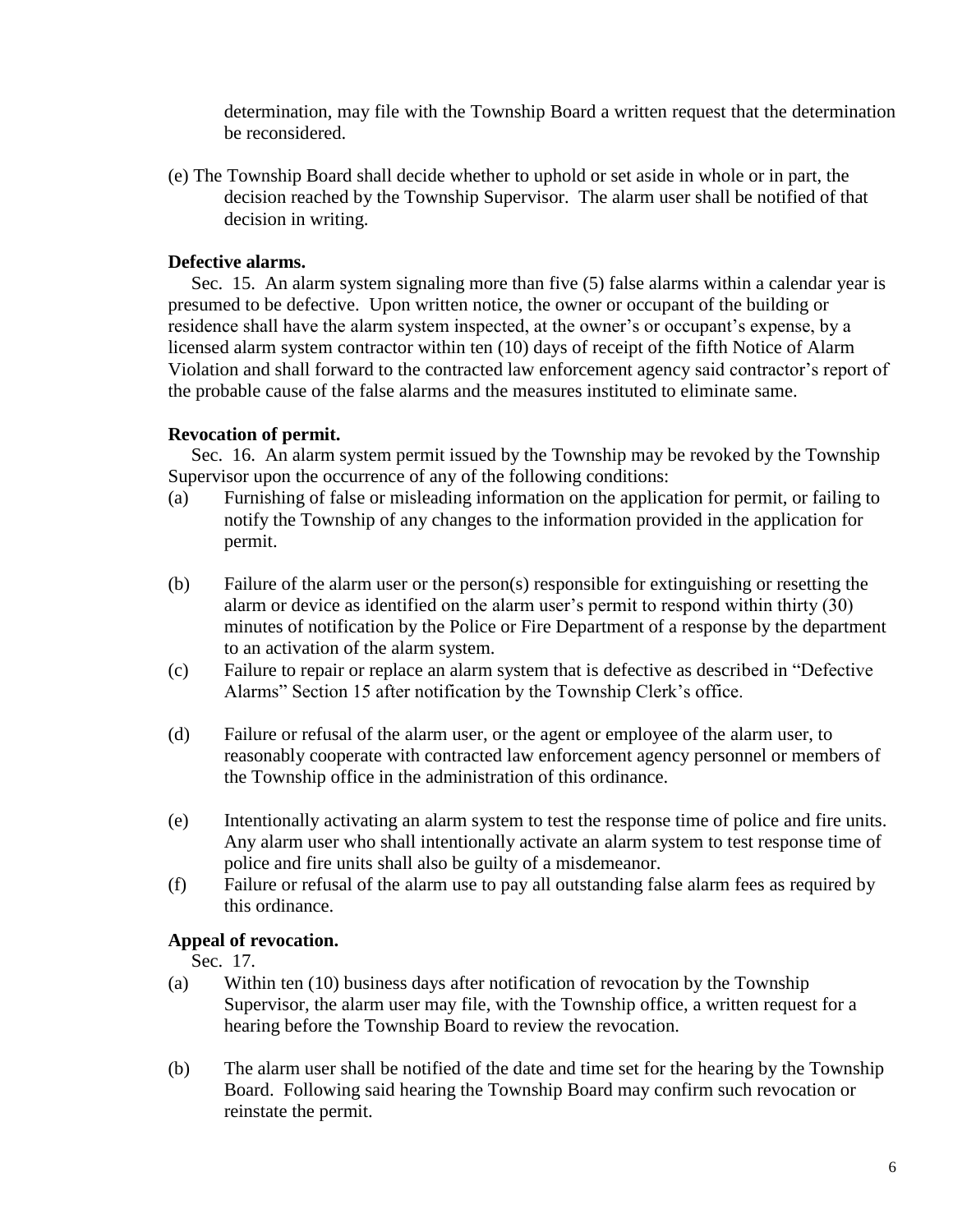determination, may file with the Township Board a written request that the determination be reconsidered.

(e) The Township Board shall decide whether to uphold or set aside in whole or in part, the decision reached by the Township Supervisor. The alarm user shall be notified of that decision in writing.

# **Defective alarms.**

Sec. 15. An alarm system signaling more than five (5) false alarms within a calendar year is presumed to be defective. Upon written notice, the owner or occupant of the building or residence shall have the alarm system inspected, at the owner's or occupant's expense, by a licensed alarm system contractor within ten (10) days of receipt of the fifth Notice of Alarm Violation and shall forward to the contracted law enforcement agency said contractor's report of the probable cause of the false alarms and the measures instituted to eliminate same.

# **Revocation of permit.**

Sec. 16. An alarm system permit issued by the Township may be revoked by the Township Supervisor upon the occurrence of any of the following conditions:

- (a) Furnishing of false or misleading information on the application for permit, or failing to notify the Township of any changes to the information provided in the application for permit.
- (b) Failure of the alarm user or the person(s) responsible for extinguishing or resetting the alarm or device as identified on the alarm user's permit to respond within thirty (30) minutes of notification by the Police or Fire Department of a response by the department to an activation of the alarm system.
- (c) Failure to repair or replace an alarm system that is defective as described in "Defective Alarms" Section 15 after notification by the Township Clerk's office.
- (d) Failure or refusal of the alarm user, or the agent or employee of the alarm user, to reasonably cooperate with contracted law enforcement agency personnel or members of the Township office in the administration of this ordinance.
- (e) Intentionally activating an alarm system to test the response time of police and fire units. Any alarm user who shall intentionally activate an alarm system to test response time of police and fire units shall also be guilty of a misdemeanor.
- (f) Failure or refusal of the alarm use to pay all outstanding false alarm fees as required by this ordinance.

# **Appeal of revocation.**

Sec. 17.

- (a) Within ten (10) business days after notification of revocation by the Township Supervisor, the alarm user may file, with the Township office, a written request for a hearing before the Township Board to review the revocation.
- (b) The alarm user shall be notified of the date and time set for the hearing by the Township Board. Following said hearing the Township Board may confirm such revocation or reinstate the permit.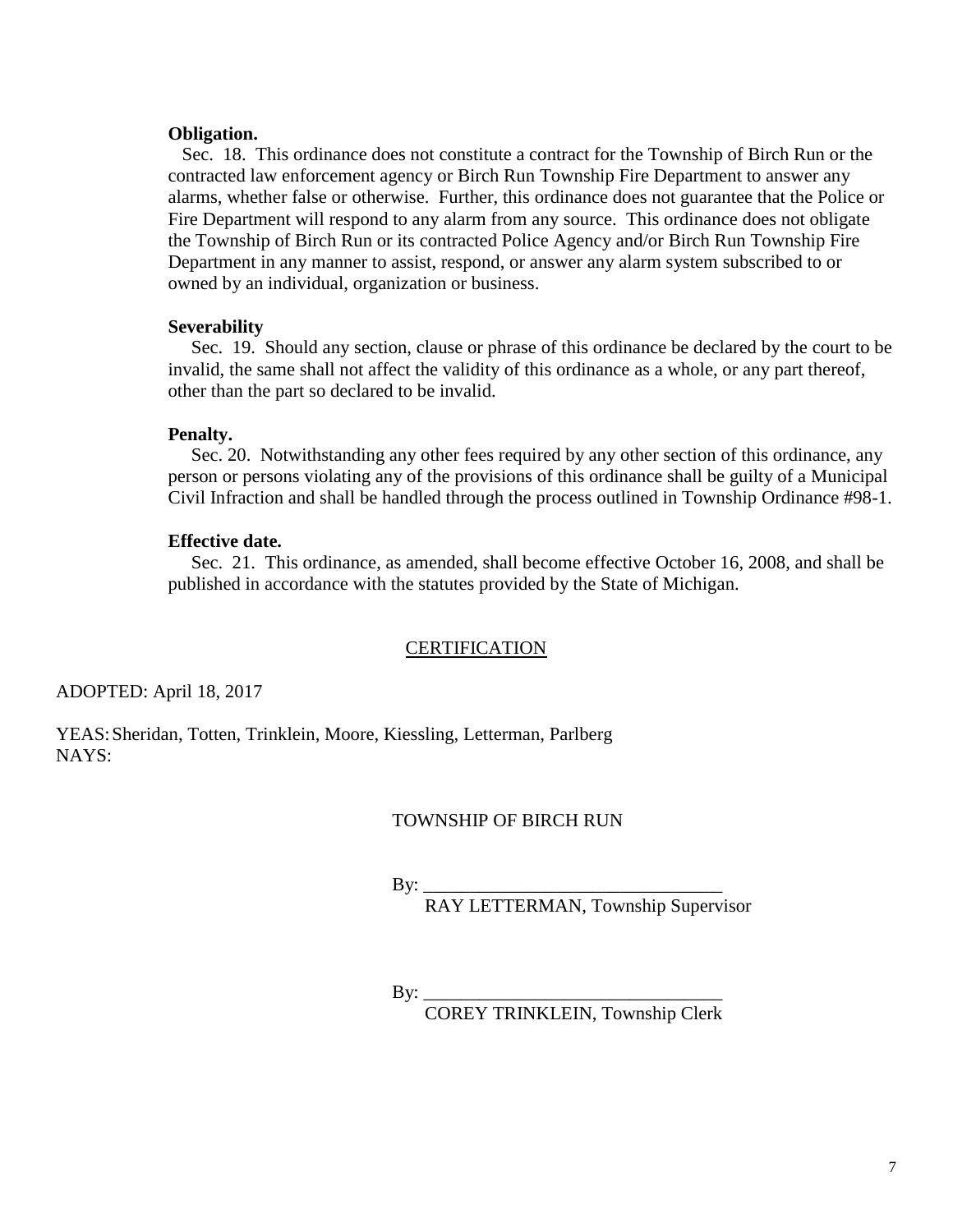### **Obligation.**

 Sec. 18. This ordinance does not constitute a contract for the Township of Birch Run or the contracted law enforcement agency or Birch Run Township Fire Department to answer any alarms, whether false or otherwise. Further, this ordinance does not guarantee that the Police or Fire Department will respond to any alarm from any source. This ordinance does not obligate the Township of Birch Run or its contracted Police Agency and/or Birch Run Township Fire Department in any manner to assist, respond, or answer any alarm system subscribed to or owned by an individual, organization or business.

### **Severability**

Sec. 19. Should any section, clause or phrase of this ordinance be declared by the court to be invalid, the same shall not affect the validity of this ordinance as a whole, or any part thereof, other than the part so declared to be invalid.

#### **Penalty.**

 Sec. 20. Notwithstanding any other fees required by any other section of this ordinance, any person or persons violating any of the provisions of this ordinance shall be guilty of a Municipal Civil Infraction and shall be handled through the process outlined in Township Ordinance #98-1.

### **Effective date.**

Sec. 21. This ordinance, as amended, shall become effective October 16, 2008, and shall be published in accordance with the statutes provided by the State of Michigan.

#### **CERTIFICATION**

ADOPTED: April 18, 2017

YEAS:Sheridan, Totten, Trinklein, Moore, Kiessling, Letterman, Parlberg NAYS:

#### TOWNSHIP OF BIRCH RUN

By: \_\_\_\_\_\_\_\_\_\_\_\_\_\_\_\_\_\_\_\_\_\_\_\_\_\_\_\_\_\_\_\_

RAY LETTERMAN, Township Supervisor

By:  $\_\_$ 

COREY TRINKLEIN, Township Clerk